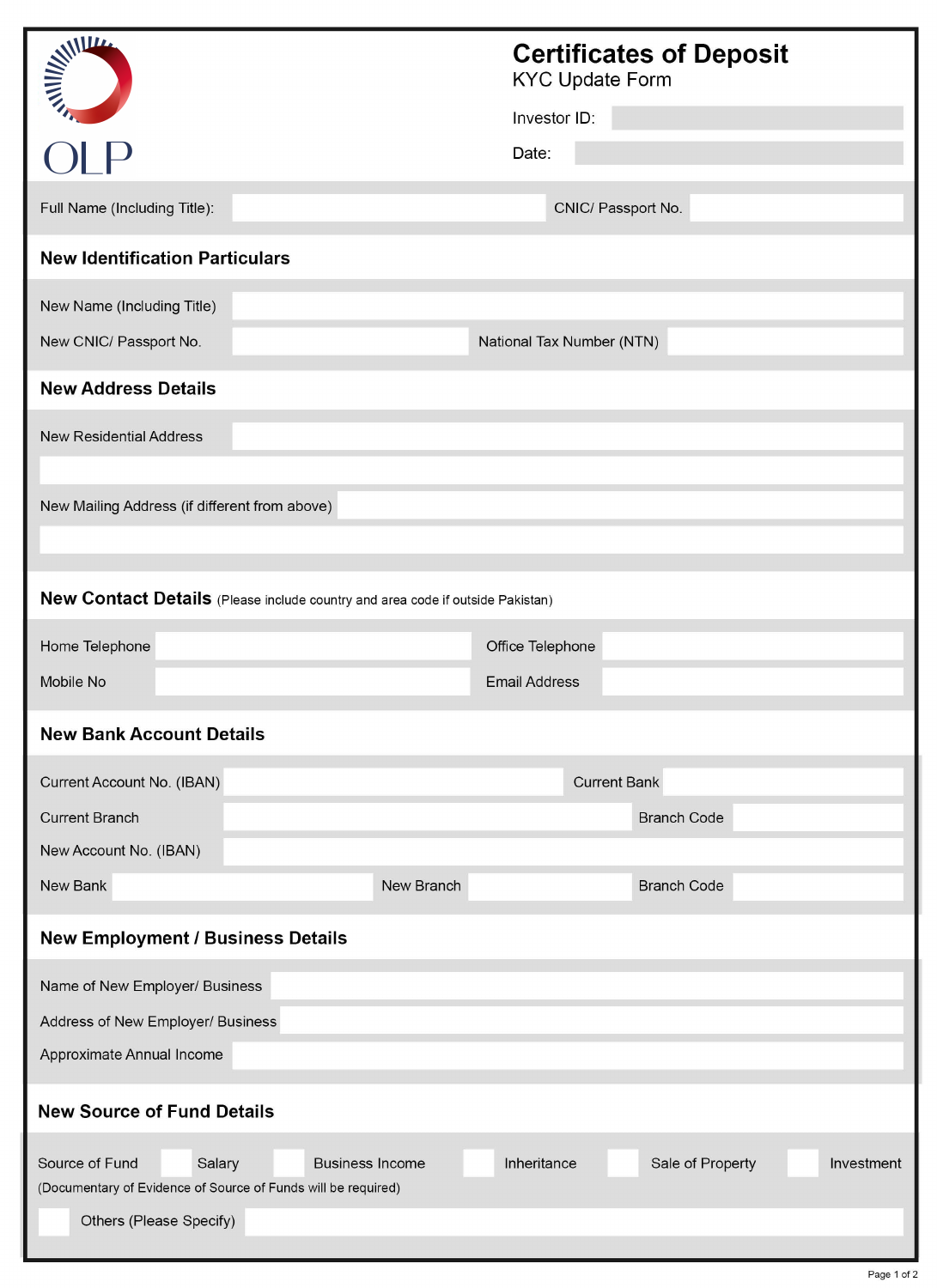| <b>ANTIFERENTIER</b>                                                                                                | <b>Certificates of Deposit</b><br><b>KYC Update Form</b> |  |
|---------------------------------------------------------------------------------------------------------------------|----------------------------------------------------------|--|
|                                                                                                                     | Investor ID:                                             |  |
|                                                                                                                     | Date:                                                    |  |
| Full Name (Including Title):                                                                                        | CNIC/ Passport No.                                       |  |
| <b>New Identification Particulars</b>                                                                               |                                                          |  |
| New Name (Including Title)                                                                                          |                                                          |  |
| New CNIC/ Passport No.                                                                                              | National Tax Number (NTN)                                |  |
| <b>New Address Details</b>                                                                                          |                                                          |  |
| <b>New Residential Address</b>                                                                                      |                                                          |  |
|                                                                                                                     |                                                          |  |
| New Mailing Address (if different from above)                                                                       |                                                          |  |
|                                                                                                                     |                                                          |  |
| New Contact Details (Please include country and area code if outside Pakistan)                                      |                                                          |  |
| Home Telephone                                                                                                      | Office Telephone                                         |  |
| Mobile No                                                                                                           | <b>Email Address</b>                                     |  |
| <b>New Bank Account Details</b>                                                                                     |                                                          |  |
| Current Account No. (IBAN)                                                                                          | <b>Current Bank</b>                                      |  |
| <b>Current Branch</b>                                                                                               | <b>Branch Code</b>                                       |  |
| New Account No. (IBAN)                                                                                              |                                                          |  |
| New Bank                                                                                                            | New Branch<br><b>Branch Code</b>                         |  |
| <b>New Employment / Business Details</b>                                                                            |                                                          |  |
| Name of New Employer/ Business                                                                                      |                                                          |  |
| Address of New Employer/ Business                                                                                   |                                                          |  |
| Approximate Annual Income                                                                                           |                                                          |  |
| <b>New Source of Fund Details</b>                                                                                   |                                                          |  |
| Source of Fund<br>Salary<br><b>Business Income</b><br>(Documentary of Evidence of Source of Funds will be required) | Inheritance<br>Sale of Property<br>Investment            |  |
| Others (Please Specify)                                                                                             |                                                          |  |